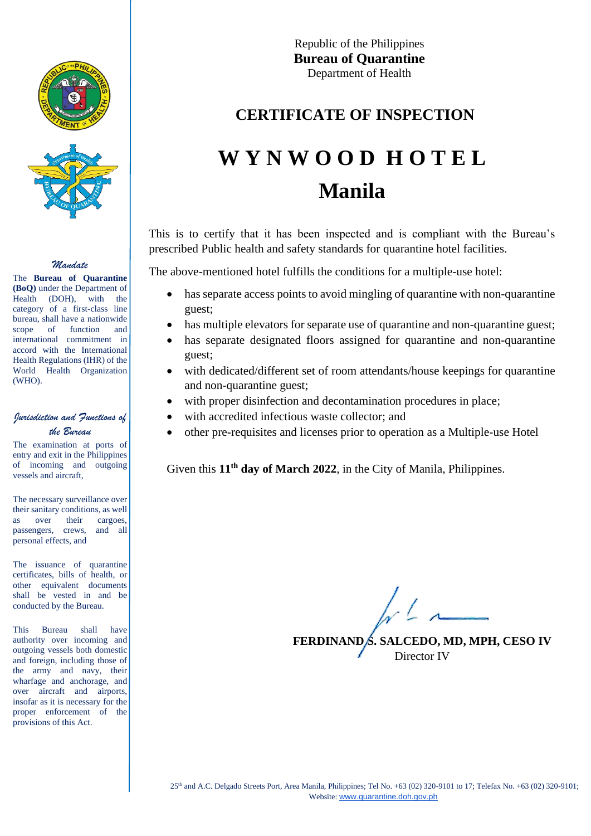



#### *Mandate*

The **Bureau of Quarantine (BoQ)** under the Department of Health (DOH), with the category of a first-class line bureau, shall have a nationwide scope of function and international commitment in accord with the International Health Regulations (IHR) of the World Health Organization (WHO).

### *Jurisdiction and Functions of the Bureau*

The examination at ports of entry and exit in the Philippines of incoming and outgoing vessels and aircraft,

The necessary surveillance over their sanitary conditions, as well as over their cargoes, passengers, crews, and all personal effects, and

The issuance of quarantine certificates, bills of health, or other equivalent documents shall be vested in and be conducted by the Bureau.

This Bureau shall have authority over incoming and outgoing vessels both domestic and foreign, including those of the army and navy, their wharfage and anchorage, and over aircraft and airports, insofar as it is necessary for the proper enforcement of the provisions of this Act.

Republic of the Philippines **Bureau of Quarantine** Department of Health

## **CERTIFICATE OF INSPECTION**

# **W Y N W O O D H O T E L Manila**

This is to certify that it has been inspected and is compliant with the Bureau's prescribed Public health and safety standards for quarantine hotel facilities.

The above-mentioned hotel fulfills the conditions for a multiple-use hotel:

- has separate access points to avoid mingling of quarantine with non-quarantine guest;
- has multiple elevators for separate use of quarantine and non-quarantine guest;
- has separate designated floors assigned for quarantine and non-quarantine guest;
- with dedicated/different set of room attendants/house keepings for quarantine and non-quarantine guest;
- with proper disinfection and decontamination procedures in place;
- with accredited infectious waste collector; and
- other pre-requisites and licenses prior to operation as a Multiple-use Hotel

Given this 11<sup>th</sup> day of March 2022, in the City of Manila, Philippines.

**FERDINAND S. SALCEDO, MD, MPH, CESO IV** Director IV